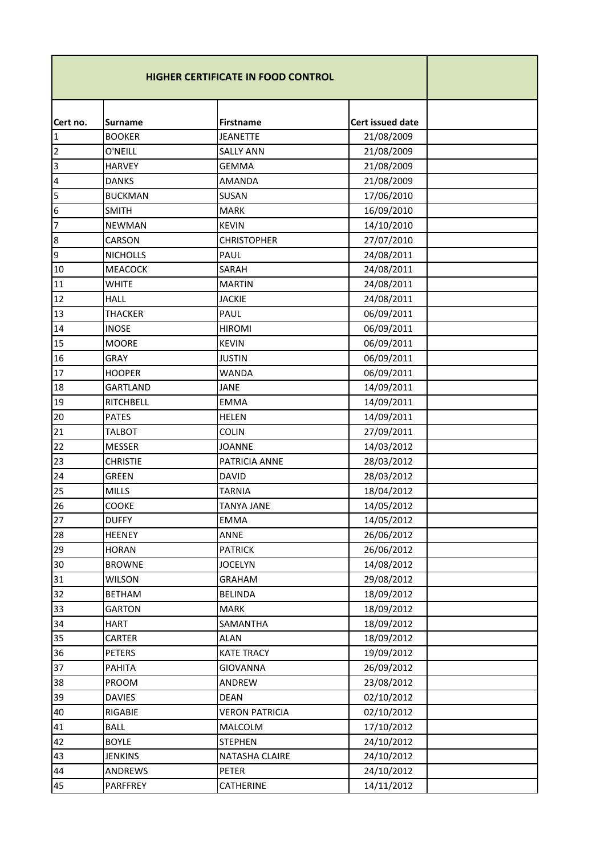|          |                 | <b>HIGHER CERTIFICATE IN FOOD CONTROL</b> |                  |  |
|----------|-----------------|-------------------------------------------|------------------|--|
| Cert no. | <b>Surname</b>  | <b>Firstname</b>                          | Cert issued date |  |
| 1        | <b>BOOKER</b>   | <b>JEANETTE</b>                           | 21/08/2009       |  |
| 2        | O'NEILL         | <b>SALLY ANN</b>                          | 21/08/2009       |  |
| 3        | <b>HARVEY</b>   | <b>GEMMA</b>                              | 21/08/2009       |  |
| 4        | <b>DANKS</b>    | <b>AMANDA</b>                             | 21/08/2009       |  |
| 5        | <b>BUCKMAN</b>  | SUSAN                                     | 17/06/2010       |  |
| 6        | <b>SMITH</b>    | <b>MARK</b>                               | 16/09/2010       |  |
| 7        | <b>NEWMAN</b>   | <b>KEVIN</b>                              | 14/10/2010       |  |
| 8        | CARSON          | <b>CHRISTOPHER</b>                        | 27/07/2010       |  |
| 9        | <b>NICHOLLS</b> | PAUL                                      | 24/08/2011       |  |
| 10       | <b>MEACOCK</b>  | SARAH                                     | 24/08/2011       |  |
| 11       | <b>WHITE</b>    | <b>MARTIN</b>                             | 24/08/2011       |  |
| 12       | <b>HALL</b>     | <b>JACKIE</b>                             | 24/08/2011       |  |
| 13       | <b>THACKER</b>  | PAUL                                      | 06/09/2011       |  |
| 14       | <b>INOSE</b>    | <b>HIROMI</b>                             | 06/09/2011       |  |
| 15       | <b>MOORE</b>    | <b>KEVIN</b>                              | 06/09/2011       |  |
| 16       | <b>GRAY</b>     | <b>JUSTIN</b>                             | 06/09/2011       |  |
| 17       | <b>HOOPER</b>   | <b>WANDA</b>                              | 06/09/2011       |  |
| 18       | <b>GARTLAND</b> | <b>JANE</b>                               | 14/09/2011       |  |
| 19       | RITCHBELL       | <b>EMMA</b>                               | 14/09/2011       |  |
| 20       | <b>PATES</b>    | <b>HELEN</b>                              | 14/09/2011       |  |
| 21       | <b>TALBOT</b>   | <b>COLIN</b>                              | 27/09/2011       |  |
| 22       | <b>MESSER</b>   | <b>JOANNE</b>                             | 14/03/2012       |  |
| 23       | <b>CHRISTIE</b> | PATRICIA ANNE                             | 28/03/2012       |  |
| 24       | <b>GREEN</b>    | <b>DAVID</b>                              | 28/03/2012       |  |
| 25       | <b>MILLS</b>    | <b>TARNIA</b>                             | 18/04/2012       |  |
| 26       | COOKE           | <b>TANYA JANE</b>                         | 14/05/2012       |  |
| 27       | <b>DUFFY</b>    | <b>EMMA</b>                               | 14/05/2012       |  |
| 28       | <b>HEENEY</b>   | ANNE                                      | 26/06/2012       |  |
| 29       | <b>HORAN</b>    | <b>PATRICK</b>                            | 26/06/2012       |  |
| 30       | <b>BROWNE</b>   | <b>JOCELYN</b>                            | 14/08/2012       |  |
| 31       | <b>WILSON</b>   | <b>GRAHAM</b>                             | 29/08/2012       |  |
| 32       | <b>BETHAM</b>   | <b>BELINDA</b>                            | 18/09/2012       |  |
| 33       | <b>GARTON</b>   | <b>MARK</b>                               | 18/09/2012       |  |
| 34       | <b>HART</b>     | SAMANTHA                                  | 18/09/2012       |  |
| 35       | CARTER          | <b>ALAN</b>                               | 18/09/2012       |  |
| 36       | <b>PETERS</b>   | <b>KATE TRACY</b>                         | 19/09/2012       |  |
| 37       | PAHITA          | GIOVANNA                                  | 26/09/2012       |  |
| 38       | PROOM           | ANDREW                                    | 23/08/2012       |  |
| 39       | <b>DAVIES</b>   | <b>DEAN</b>                               | 02/10/2012       |  |
| 40       | RIGABIE         | <b>VERON PATRICIA</b>                     | 02/10/2012       |  |
| 41       | <b>BALL</b>     | MALCOLM                                   | 17/10/2012       |  |
| 42       | <b>BOYLE</b>    | <b>STEPHEN</b>                            | 24/10/2012       |  |
| 43       | <b>JENKINS</b>  | NATASHA CLAIRE                            | 24/10/2012       |  |
| 44       | ANDREWS         | <b>PETER</b>                              | 24/10/2012       |  |
| 45       | PARFFREY        | CATHERINE                                 | 14/11/2012       |  |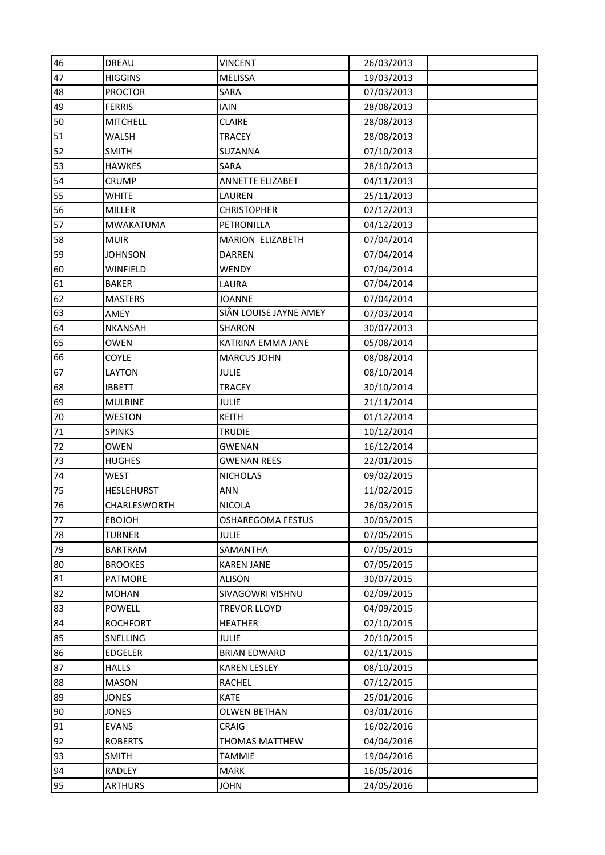| 46 | DREAU             | <b>VINCENT</b>           | 26/03/2013 |
|----|-------------------|--------------------------|------------|
| 47 | <b>HIGGINS</b>    | <b>MELISSA</b>           | 19/03/2013 |
| 48 | <b>PROCTOR</b>    | SARA                     | 07/03/2013 |
| 49 | <b>FERRIS</b>     | <b>IAIN</b>              | 28/08/2013 |
| 50 | <b>MITCHELL</b>   | <b>CLAIRE</b>            | 28/08/2013 |
| 51 | WALSH             | <b>TRACEY</b>            | 28/08/2013 |
| 52 | <b>SMITH</b>      | SUZANNA                  | 07/10/2013 |
| 53 | <b>HAWKES</b>     | SARA                     | 28/10/2013 |
| 54 | CRUMP             | ANNETTE ELIZABET         | 04/11/2013 |
| 55 | WHITE             | LAUREN                   | 25/11/2013 |
| 56 | MILLER            | <b>CHRISTOPHER</b>       | 02/12/2013 |
| 57 | <b>MWAKATUMA</b>  | PETRONILLA               | 04/12/2013 |
| 58 | <b>MUIR</b>       | MARION ELIZABETH         | 07/04/2014 |
| 59 | <b>JOHNSON</b>    | <b>DARREN</b>            | 07/04/2014 |
| 60 | WINFIELD          | WENDY                    | 07/04/2014 |
| 61 | <b>BAKER</b>      | LAURA                    | 07/04/2014 |
| 62 | <b>MASTERS</b>    | <b>JOANNE</b>            | 07/04/2014 |
| 63 | AMEY              | SIÂN LOUISE JAYNE AMEY   | 07/03/2014 |
| 64 | <b>NKANSAH</b>    | <b>SHARON</b>            | 30/07/2013 |
| 65 | <b>OWEN</b>       | KATRINA EMMA JANE        | 05/08/2014 |
| 66 | COYLE             | <b>MARCUS JOHN</b>       | 08/08/2014 |
| 67 | LAYTON            | <b>JULIE</b>             | 08/10/2014 |
| 68 | <b>IBBETT</b>     | <b>TRACEY</b>            | 30/10/2014 |
| 69 | <b>MULRINE</b>    | <b>JULIE</b>             | 21/11/2014 |
| 70 | <b>WESTON</b>     | <b>KEITH</b>             | 01/12/2014 |
| 71 | <b>SPINKS</b>     | <b>TRUDIE</b>            | 10/12/2014 |
| 72 | <b>OWEN</b>       | <b>GWENAN</b>            | 16/12/2014 |
| 73 | <b>HUGHES</b>     | <b>GWENAN REES</b>       | 22/01/2015 |
| 74 | <b>WEST</b>       | <b>NICHOLAS</b>          | 09/02/2015 |
| 75 | <b>HESLEHURST</b> | ANN                      | 11/02/2015 |
| 76 | CHARLESWORTH      | <b>NICOLA</b>            | 26/03/2015 |
| 77 | <b>EBOJOH</b>     | <b>OSHAREGOMA FESTUS</b> | 30/03/2015 |
| 78 | <b>TURNER</b>     | <b>JULIE</b>             | 07/05/2015 |
| 79 | <b>BARTRAM</b>    | SAMANTHA                 | 07/05/2015 |
| 80 | <b>BROOKES</b>    | <b>KAREN JANE</b>        | 07/05/2015 |
| 81 | <b>PATMORE</b>    | <b>ALISON</b>            | 30/07/2015 |
| 82 | <b>MOHAN</b>      | SIVAGOWRI VISHNU         | 02/09/2015 |
| 83 | POWELL            | <b>TREVOR LLOYD</b>      | 04/09/2015 |
| 84 | <b>ROCHFORT</b>   | <b>HEATHER</b>           | 02/10/2015 |
| 85 | SNELLING          | <b>JULIE</b>             | 20/10/2015 |
| 86 | <b>EDGELER</b>    | <b>BRIAN EDWARD</b>      | 02/11/2015 |
| 87 | <b>HALLS</b>      | <b>KAREN LESLEY</b>      | 08/10/2015 |
| 88 | <b>MASON</b>      | RACHEL                   | 07/12/2015 |
| 89 | <b>JONES</b>      | <b>KATE</b>              | 25/01/2016 |
| 90 | <b>JONES</b>      | <b>OLWEN BETHAN</b>      | 03/01/2016 |
| 91 | <b>EVANS</b>      | CRAIG                    | 16/02/2016 |
| 92 | <b>ROBERTS</b>    | THOMAS MATTHEW           | 04/04/2016 |
| 93 |                   | <b>TAMMIE</b>            | 19/04/2016 |
|    | <b>SMITH</b>      |                          |            |
| 94 | RADLEY            | <b>MARK</b>              | 16/05/2016 |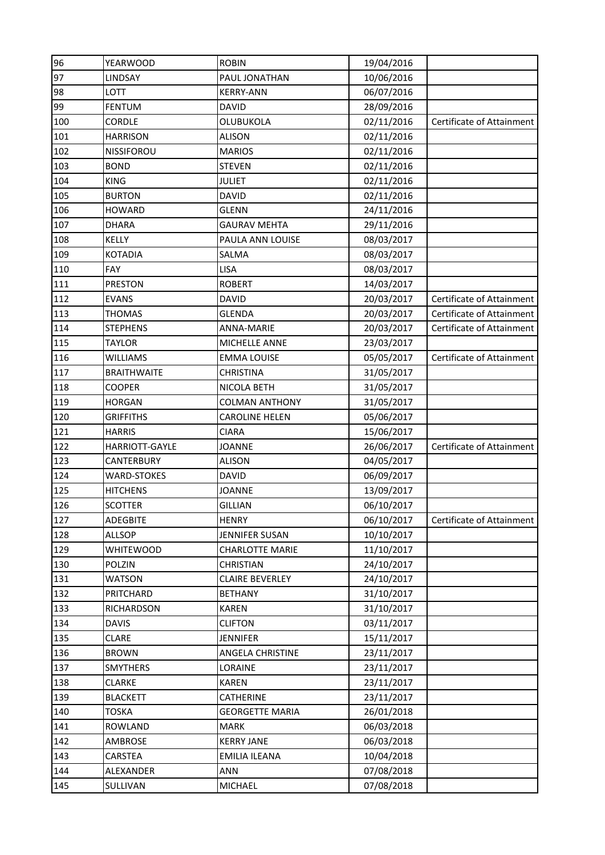| 96  | <b>YEARWOOD</b>    | <b>ROBIN</b>           | 19/04/2016 |                           |
|-----|--------------------|------------------------|------------|---------------------------|
| 97  | LINDSAY            | PAUL JONATHAN          | 10/06/2016 |                           |
| 98  | LOTT               | <b>KERRY-ANN</b>       | 06/07/2016 |                           |
| 99  | <b>FENTUM</b>      | <b>DAVID</b>           | 28/09/2016 |                           |
| 100 | <b>CORDLE</b>      | OLUBUKOLA              | 02/11/2016 | Certificate of Attainment |
| 101 | <b>HARRISON</b>    | <b>ALISON</b>          | 02/11/2016 |                           |
| 102 | <b>NISSIFOROU</b>  | <b>MARIOS</b>          | 02/11/2016 |                           |
| 103 | <b>BOND</b>        | <b>STEVEN</b>          | 02/11/2016 |                           |
| 104 | <b>KING</b>        | <b>JULIET</b>          | 02/11/2016 |                           |
| 105 | <b>BURTON</b>      | <b>DAVID</b>           | 02/11/2016 |                           |
| 106 | <b>HOWARD</b>      | <b>GLENN</b>           | 24/11/2016 |                           |
| 107 | <b>DHARA</b>       | <b>GAURAV MEHTA</b>    | 29/11/2016 |                           |
| 108 | KELLY              | PAULA ANN LOUISE       | 08/03/2017 |                           |
| 109 | <b>KOTADIA</b>     | SALMA                  | 08/03/2017 |                           |
| 110 | <b>FAY</b>         | <b>LISA</b>            | 08/03/2017 |                           |
| 111 | <b>PRESTON</b>     | <b>ROBERT</b>          | 14/03/2017 |                           |
| 112 | <b>EVANS</b>       | <b>DAVID</b>           | 20/03/2017 | Certificate of Attainment |
| 113 | <b>THOMAS</b>      | <b>GLENDA</b>          | 20/03/2017 | Certificate of Attainment |
| 114 | <b>STEPHENS</b>    | ANNA-MARIE             | 20/03/2017 | Certificate of Attainment |
| 115 | <b>TAYLOR</b>      | MICHELLE ANNE          | 23/03/2017 |                           |
| 116 | WILLIAMS           | <b>EMMA LOUISE</b>     | 05/05/2017 | Certificate of Attainment |
| 117 | <b>BRAITHWAITE</b> | <b>CHRISTINA</b>       | 31/05/2017 |                           |
| 118 | <b>COOPER</b>      | NICOLA BETH            | 31/05/2017 |                           |
| 119 | <b>HORGAN</b>      | <b>COLMAN ANTHONY</b>  | 31/05/2017 |                           |
| 120 | <b>GRIFFITHS</b>   | <b>CAROLINE HELEN</b>  | 05/06/2017 |                           |
| 121 | <b>HARRIS</b>      | <b>CIARA</b>           | 15/06/2017 |                           |
| 122 |                    |                        |            |                           |
|     | HARRIOTT-GAYLE     | JOANNE                 | 26/06/2017 | Certificate of Attainment |
| 123 | CANTERBURY         | <b>ALISON</b>          | 04/05/2017 |                           |
| 124 | <b>WARD-STOKES</b> | <b>DAVID</b>           | 06/09/2017 |                           |
| 125 | <b>HITCHENS</b>    | <b>JOANNE</b>          | 13/09/2017 |                           |
| 126 | <b>SCOTTER</b>     | <b>GILLIAN</b>         | 06/10/2017 |                           |
| 127 | ADEGBITE           | <b>HENRY</b>           | 06/10/2017 | Certificate of Attainment |
| 128 | <b>ALLSOP</b>      | JENNIFER SUSAN         | 10/10/2017 |                           |
| 129 | <b>WHITEWOOD</b>   | <b>CHARLOTTE MARIE</b> | 11/10/2017 |                           |
| 130 | POLZIN             | CHRISTIAN              | 24/10/2017 |                           |
| 131 | WATSON             | CLAIRE BEVERLEY        | 24/10/2017 |                           |
| 132 | PRITCHARD          | <b>BETHANY</b>         | 31/10/2017 |                           |
| 133 | RICHARDSON         | <b>KAREN</b>           | 31/10/2017 |                           |
| 134 | <b>DAVIS</b>       | <b>CLIFTON</b>         | 03/11/2017 |                           |
| 135 | <b>CLARE</b>       | <b>JENNIFER</b>        | 15/11/2017 |                           |
| 136 | <b>BROWN</b>       | ANGELA CHRISTINE       | 23/11/2017 |                           |
| 137 | <b>SMYTHERS</b>    | LORAINE                | 23/11/2017 |                           |
| 138 | CLARKE             | <b>KAREN</b>           | 23/11/2017 |                           |
| 139 | <b>BLACKETT</b>    | CATHERINE              | 23/11/2017 |                           |
| 140 | <b>TOSKA</b>       | <b>GEORGETTE MARIA</b> | 26/01/2018 |                           |
| 141 | <b>ROWLAND</b>     | <b>MARK</b>            | 06/03/2018 |                           |
| 142 | AMBROSE            | <b>KERRY JANE</b>      | 06/03/2018 |                           |
| 143 | CARSTEA            | EMILIA ILEANA          | 10/04/2018 |                           |
| 144 | ALEXANDER          | <b>ANN</b>             | 07/08/2018 |                           |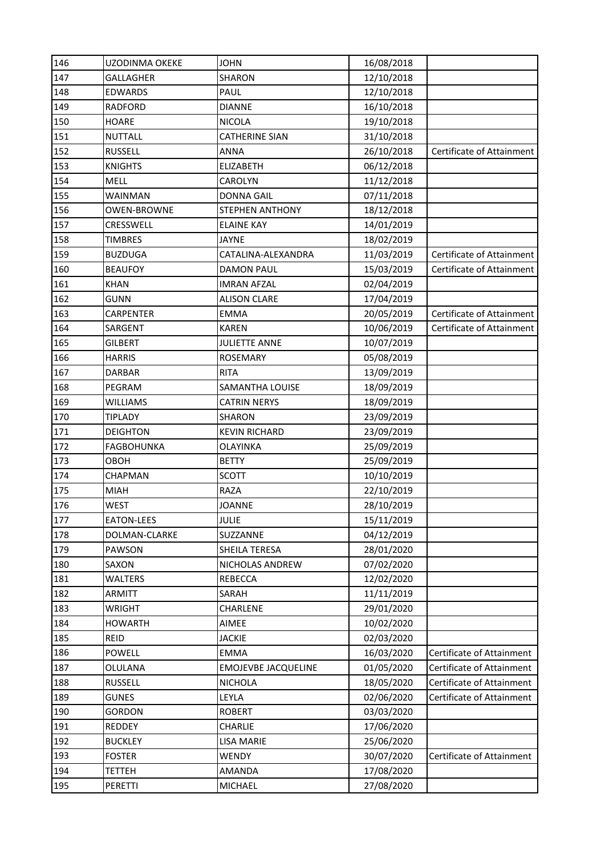| 146 | UZODINMA OKEKE     | <b>JOHN</b>                | 16/08/2018 |                                  |
|-----|--------------------|----------------------------|------------|----------------------------------|
| 147 | <b>GALLAGHER</b>   | <b>SHARON</b>              | 12/10/2018 |                                  |
| 148 | <b>EDWARDS</b>     | PAUL                       | 12/10/2018 |                                  |
| 149 | <b>RADFORD</b>     | <b>DIANNE</b>              | 16/10/2018 |                                  |
| 150 | <b>HOARE</b>       | <b>NICOLA</b>              | 19/10/2018 |                                  |
| 151 | <b>NUTTALL</b>     | <b>CATHERINE SIAN</b>      | 31/10/2018 |                                  |
| 152 | <b>RUSSELL</b>     | <b>ANNA</b>                | 26/10/2018 | Certificate of Attainment        |
| 153 | <b>KNIGHTS</b>     | <b>ELIZABETH</b>           | 06/12/2018 |                                  |
| 154 | <b>MELL</b>        | CAROLYN                    | 11/12/2018 |                                  |
| 155 | WAINMAN            | <b>DONNA GAIL</b>          | 07/11/2018 |                                  |
| 156 | <b>OWEN-BROWNE</b> | STEPHEN ANTHONY            | 18/12/2018 |                                  |
| 157 | CRESSWELL          | <b>ELAINE KAY</b>          | 14/01/2019 |                                  |
| 158 | <b>TIMBRES</b>     | <b>JAYNE</b>               | 18/02/2019 |                                  |
| 159 | <b>BUZDUGA</b>     | CATALINA-ALEXANDRA         | 11/03/2019 | Certificate of Attainment        |
| 160 | <b>BEAUFOY</b>     | <b>DAMON PAUL</b>          | 15/03/2019 | Certificate of Attainment        |
| 161 | <b>KHAN</b>        | <b>IMRAN AFZAL</b>         | 02/04/2019 |                                  |
| 162 | <b>GUNN</b>        | <b>ALISON CLARE</b>        | 17/04/2019 |                                  |
| 163 | CARPENTER          | <b>EMMA</b>                | 20/05/2019 | <b>Certificate of Attainment</b> |
| 164 | SARGENT            | <b>KAREN</b>               | 10/06/2019 | Certificate of Attainment        |
| 165 | <b>GILBERT</b>     | <b>JULIETTE ANNE</b>       | 10/07/2019 |                                  |
| 166 | <b>HARRIS</b>      | <b>ROSEMARY</b>            | 05/08/2019 |                                  |
| 167 | <b>DARBAR</b>      | <b>RITA</b>                | 13/09/2019 |                                  |
| 168 | PEGRAM             | SAMANTHA LOUISE            | 18/09/2019 |                                  |
| 169 | <b>WILLIAMS</b>    | <b>CATRIN NERYS</b>        | 18/09/2019 |                                  |
| 170 | <b>TIPLADY</b>     | <b>SHARON</b>              | 23/09/2019 |                                  |
| 171 | <b>DEIGHTON</b>    | <b>KEVIN RICHARD</b>       | 23/09/2019 |                                  |
| 172 | <b>FAGBOHUNKA</b>  | <b>OLAYINKA</b>            | 25/09/2019 |                                  |
| 173 | OBOH               | <b>BETTY</b>               | 25/09/2019 |                                  |
| 174 | CHAPMAN            | <b>SCOTT</b>               | 10/10/2019 |                                  |
| 175 | <b>MIAH</b>        | <b>RAZA</b>                | 22/10/2019 |                                  |
| 176 | <b>WEST</b>        | <b>JOANNE</b>              | 28/10/2019 |                                  |
| 177 | EATON-LEES         | <b>JULIE</b>               | 15/11/2019 |                                  |
| 178 | DOLMAN-CLARKE      | SUZZANNE                   | 04/12/2019 |                                  |
| 179 | PAWSON             | SHEILA TERESA              | 28/01/2020 |                                  |
| 180 | SAXON              | NICHOLAS ANDREW            | 07/02/2020 |                                  |
| 181 | WALTERS            | <b>REBECCA</b>             | 12/02/2020 |                                  |
| 182 | <b>ARMITT</b>      | SARAH                      | 11/11/2019 |                                  |
| 183 | <b>WRIGHT</b>      | CHARLENE                   | 29/01/2020 |                                  |
| 184 | <b>HOWARTH</b>     | AIMEE                      | 10/02/2020 |                                  |
| 185 | <b>REID</b>        | <b>JACKIE</b>              | 02/03/2020 |                                  |
| 186 | <b>POWELL</b>      | <b>EMMA</b>                | 16/03/2020 | Certificate of Attainment        |
| 187 | OLULANA            | <b>EMOJEVBE JACQUELINE</b> | 01/05/2020 | Certificate of Attainment        |
| 188 | <b>RUSSELL</b>     | <b>NICHOLA</b>             | 18/05/2020 | Certificate of Attainment        |
| 189 | <b>GUNES</b>       | LEYLA                      | 02/06/2020 | Certificate of Attainment        |
| 190 | <b>GORDON</b>      | <b>ROBERT</b>              | 03/03/2020 |                                  |
| 191 | REDDEY             | CHARLIE                    | 17/06/2020 |                                  |
| 192 | <b>BUCKLEY</b>     | <b>LISA MARIE</b>          | 25/06/2020 |                                  |
| 193 | <b>FOSTER</b>      | WENDY                      | 30/07/2020 | Certificate of Attainment        |
| 194 | <b>TETTEH</b>      | AMANDA                     | 17/08/2020 |                                  |
| 195 | PERETTI            | MICHAEL                    | 27/08/2020 |                                  |